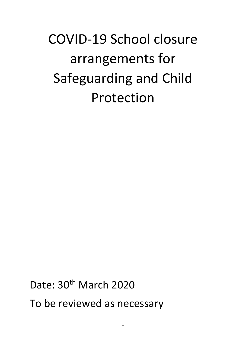# COVID-19 School closure arrangements for Safeguarding and Child Protection

Date: 30<sup>th</sup> March 2020 To be reviewed as necessary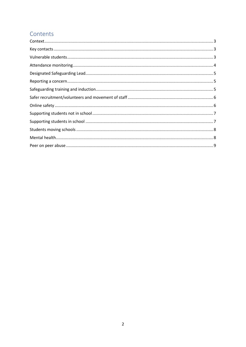# Contents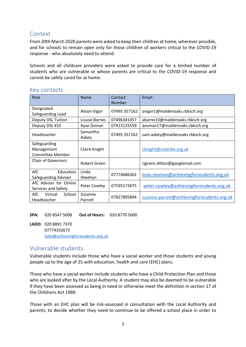# <span id="page-2-0"></span>Context

From 20th March 2020 parents were asked to keep their children at home, wherever possible, and for schools to remain open only for those children of workers critical to the COVID-19 response - who absolutely need to attend.

Schools and all childcare providers were asked to provide care for a limited number of students who are vulnerable or whose parents are critical to the COVID-19 response and cannot be safely cared for at home.

| Role                                                  | <b>Name</b>        | Contact<br><b>Number</b> | Email                                       |
|-------------------------------------------------------|--------------------|--------------------------|---------------------------------------------|
| Designated<br>Safeguarding Lead                       | Alison Vigor       | 07495 357162             | avigor1@maldenoaks.rbksch.org               |
| <b>Deputy DSL Tuition</b>                             | Louise Barnes      | 07496341457              | abarne10@maldenoaks.rbksch.org              |
| Deputy DSL KS3                                        | Ayse Osman         | 07415125559              | aosman17@maldenoaks.rbksch.org              |
| Headteacher                                           | Samantha<br>Axbey  | 07495 357162             | sam.axbey@maldenoaks.rbksch.org             |
| Safeguarding<br>Management<br><b>Committee Member</b> | Claire Knight      |                          | cknigh5@coombe.org.uk                       |
| <b>Chair of Governors</b>                             | Robert Green       |                          | rigreen.ditton@googlemail.com               |
| AfC<br>Education<br>Safeguarding Adviser              | Linda<br>Sheehan   | 07774686362              | linda.sheehan@achievingforstudents.org.uk   |
| AfC Adviser for Online<br>Services and Safety         | Peter Cowley       | 07595173975              | peter.cowley@achievingforstudents.org.uk    |
| AfC<br>School<br>Virtual<br>Headteacher               | Suzanne<br>Parrott | 07827895894              | suzanne.parrott@achievingforstudents.org.uk |

#### <span id="page-2-1"></span>Key contacts

**SPA:** 020 8547 5008 **Out of Hours:** 020 8770 5000

**LADO:** 020 8891 7370 07774332675 [lado@achievingforstudents.org.uk](mailto:lado@achievingforchildren.org.uk)

## <span id="page-2-2"></span>Vulnerable students

Vulnerable students include those who have a social worker and those students and young people up to the age of 25 with education, health and care (EHC) plans.

Those who have a social worker include students who have a Child Protection Plan and those who are looked after by the Local Authority. A student may also be deemed to be vulnerable if they have been assessed as being in need or otherwise meet the definition in section 17 of the Childrens Act 1989.

Those with an EHC plan will be risk-assessed in consultation with the Local Authority and parents, to decide whether they need to continue to be offered a school place in order to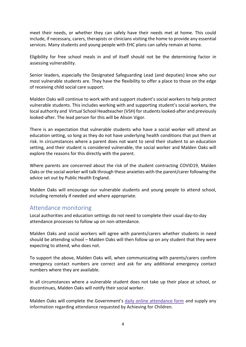meet their needs, or whether they can safely have their needs met at home. This could include, if necessary, carers, therapists or clinicians visiting the home to provide any essential services. Many students and young people with EHC plans can safely remain at home.

Eligibility for free school meals in and of itself should not be the determining factor in assessing vulnerability.

Senior leaders, especially the Designated Safeguarding Lead (and deputies) know who our most vulnerable students are. They have the flexibility to offer a place to those on the edge of receiving child social care support.

Malden Oaks will continue to work with and support student's social workers to help protect vulnerable students. This includes working with and supporting student's social workers, the local authority and Virtual School Headteacher (VSH) for studentslooked-after and previously looked-after. The lead person for this will be Alison Vigor.

There is an expectation that vulnerable students who have a social worker will attend an education setting, so long as they do not have underlying health conditions that put them at risk. In circumstances where a parent does not want to send their student to an education setting, and their student is considered vulnerable, the social worker and Malden Oaks will explore the reasons for this directly with the parent.

Where parents are concerned about the risk of the student contracting COVID19, Malden Oaks or the social worker will talk through these anxieties with the parent/carer following the advice set out by Public Health England.

Malden Oaks will encourage our vulnerable students and young people to attend school, including remotely if needed and where appropriate.

#### <span id="page-3-0"></span>Attendance monitoring

Local authorities and education settings do not need to complete their usual day-to-day attendance processes to follow up on non-attendance.

Malden Oaks and social workers will agree with parents/carers whether students in need should be attending school – Malden Oaks will then follow up on any student that they were expecting to attend, who does not.

To support the above, Malden Oaks will, when communicating with parents/carers confirm emergency contact numbers are correct and ask for any additional emergency contact numbers where they are available.

In all circumstances where a vulnerable student does not take up their place at school, or discontinues, Malden Oaks will notify their social worker.

Malden Oaks will complete the Government's daily online [attendance](https://www.gov.uk/government/publications/coronavirus-covid-19-attendance-recording-for-educational-settings) form and supply any information regarding attendance requested by Achieving for Children.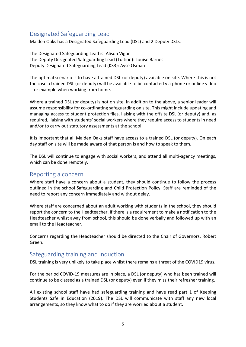# <span id="page-4-0"></span>Designated Safeguarding Lead

Malden Oaks has a Designated Safeguarding Lead (DSL) and 2 Deputy DSLs.

The Designated Safeguarding Lead is: Alison Vigor The Deputy Designated Safeguarding Lead (Tuition): Louise Barnes Deputy Designated Safeguarding Lead (KS3): Ayse Osman

The optimal scenario is to have a trained DSL (or deputy) available on site. Where this is not the case a trained DSL (or deputy) will be available to be contacted via phone or online video - for example when working from home.

Where a trained DSL (or deputy) is not on site, in addition to the above, a senior leader will assume responsibility for co-ordinating safeguarding on site. This might include updating and managing access to student protection files, liaising with the offsite DSL (or deputy) and, as required, liaising with students' social workers where they require access to students in need and/or to carry out statutory assessments at the school.

It is important that all Malden Oaks staff have access to a trained DSL (or deputy). On each day staff on site will be made aware of that person is and how to speak to them.

The DSL will continue to engage with social workers, and attend all multi-agency meetings, which can be done remotely.

#### <span id="page-4-1"></span>Reporting a concern

Where staff have a concern about a student, they should continue to follow the process outlined in the school Safeguarding and Child Protection Policy. Staff are reminded of the need to report any concern immediately and without delay.

Where staff are concerned about an adult working with students in the school, they should report the concern to the Headteacher. If there is a requirement to make a notification to the Headteacher whilst away from school, this should be done verbally and followed up with an email to the Headteacher.

Concerns regarding the Headteacher should be directed to the Chair of Governors, Robert Green.

#### <span id="page-4-2"></span>Safeguarding training and induction

DSL training is very unlikely to take place whilst there remains a threat of the COVID19 virus.

For the period COVID-19 measures are in place, a DSL (or deputy) who has been trained will continue to be classed as a trained DSL (or deputy) even if they miss their refresher training.

All existing school staff have had safeguarding training and have read part 1 of Keeping Students Safe in Education (2019). The DSL will communicate with staff any new local arrangements, so they know what to do if they are worried about a student.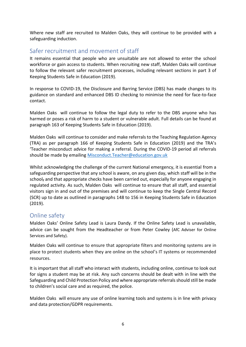Where new staff are recruited to Malden Oaks, they will continue to be provided with a safeguarding induction.

# <span id="page-5-0"></span>Safer recruitment and movement of staff

It remains essential that people who are unsuitable are not allowed to enter the school workforce or gain access to students. When recruiting new staff, Malden Oaks will continue to follow the relevant safer recruitment processes, including relevant sections in part 3 of Keeping Students Safe in Education (2019).

In response to COVID-19, the Disclosure and Barring Service (DBS) has made changes to its guidance on standard and enhanced DBS ID checking to minimise the need for face-to-face contact.

Malden Oaks will continue to follow the legal duty to refer to the DBS anyone who has harmed or poses a risk of harm to a student or vulnerable adult. Full details can be found at paragraph 163 of Keeping Students Safe in Education (2019).

Malden Oaks will continue to consider and make referrals to the Teaching Regulation Agency (TRA) as per paragraph 166 of Keeping Students Safe in Education (2019) and the TRA's 'Teacher misconduct advice for making a referral. During the COVID-19 period all referrals should be made by emailing [Misconduct.Teacher@education.gov.uk](mailto:Misconduct.Teacher@education.gov.uk)

Whilst acknowledging the challenge of the current National emergency, it is essential from a safeguarding perspective that any school is aware, on any given day, which staff will be in the school, and that appropriate checks have been carried out, especially for anyone engaging in regulated activity. As such, Malden Oaks will continue to ensure that all staff, and essential visitors sign in and out of the premises and will continue to keep the Single Central Record (SCR) up to date as outlined in paragraphs 148 to 156 in Keeping Students Safe in Education (2019).

## <span id="page-5-1"></span>Online safety

Malden Oaks' Online Safety Lead is Laura Dandy. If the Online Safety Lead is unavailable, advice can be sought from the Headteacher or from Peter Cowley (AfC Adviser for Online Services and Safety).

Malden Oaks will continue to ensure that appropriate filters and monitoring systems are in place to protect students when they are online on the school's IT systems or recommended resources.

It is important that all staff who interact with students, including online, continue to look out for signs a student may be at risk. Any such concerns should be dealt with in line with the Safeguarding and Child Protection Policy and where appropriate referrals should still be made to children's social care and as required, the police.

Malden Oaks will ensure any use of online learning tools and systems is in line with privacy and data protection/GDPR requirements.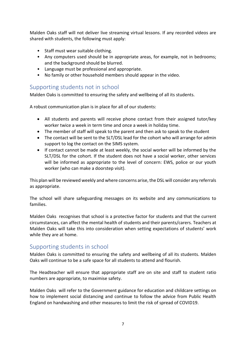Malden Oaks staff will not deliver live streaming virtual lessons. If any recorded videos are shared with students, the following must apply:

- Staff must wear suitable clothing.
- Any computers used should be in appropriate areas, for example, not in bedrooms; and the background should be blurred.
- Language must be professional and appropriate.
- No family or other household members should appear in the video.

#### <span id="page-6-0"></span>Supporting students not in school

Malden Oaks is committed to ensuring the safety and wellbeing of all its students.

A robust communication plan is in place for all of our students:

- All students and parents will receive phone contact from their assigned tutor/key worker twice a week in term time and once a week in holiday time.
- The member of staff will speak to the parent and then ask to speak to the student
- The contact will be sent to the SLT/DSL lead for the cohort who will arrange for admin support to log the contact on the SIMS system.
- If contact cannot be made at least weekly, the social worker will be informed by the SLT/DSL for the cohort. If the student does not have a social worker, other services will be informed as appropriate to the level of concern: EWS, police or our youth worker (who can make a doorstep visit).

This plan will be reviewed weekly and where concerns arise, the DSL will consider any referrals as appropriate.

The school will share safeguarding messages on its website and any communications to families.

Malden Oaks recognises that school is a protective factor for students and that the current circumstances, can affect the mental health of students and their parents/carers. Teachers at Malden Oaks will take this into consideration when setting expectations of students' work while they are at home.

## <span id="page-6-1"></span>Supporting students in school

Malden Oaks is committed to ensuring the safety and wellbeing of all its students. Malden Oaks will continue to be a safe space for all students to attend and flourish.

The Headteacher will ensure that appropriate staff are on site and staff to student ratio numbers are appropriate, to maximise safety.

Malden Oaks will refer to the Government guidance for education and childcare settings on how to implement social distancing and continue to follow the advice from Public Health England on handwashing and other measures to limit the risk of spread of COVID19.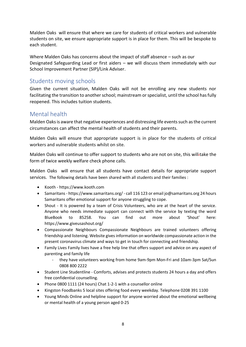Malden Oaks will ensure that where we care for students of critical workers and vulnerable students on site, we ensure appropriate support is in place for them. This will be bespoke to each student.

Where Malden Oaks has concerns about the impact of staff absence – such as our Designated Safeguarding Lead or first aiders – we will discuss them immediately with our School Improvement Partner (SIP)/Link Adviser.

## <span id="page-7-0"></span>Students moving schools

Given the current situation, Malden Oaks will not be enrolling any new students nor facilitating the transition to another school; mainstream or specialist, until the school has fully reopened. This includes tuition students.

# <span id="page-7-1"></span>Mental health

Malden Oaksis aware that negative experiences and distressing life events such as the current circumstances can affect the mental health of students and their parents.

Malden Oaks will ensure that appropriate support is in place for the students of critical workers and vulnerable students whilst on site.

Malden Oaks will continue to offer support to students who are not on site, this will take the form of twice weekly welfare check phone calls.

Malden Oaks will ensure that all students have contact details for appropriate support services. The following details have been shared with all students and their families :

- Kooth https://www.kooth.com
- Samaritans https://www.samaritans.org/ call 116 123 or email jo@samaritans.org 24 hours Samaritans offer emotional support for anyone struggling to cope.
- Shout It is powered by a team of Crisis Volunteers, who are at the heart of the service. Anyone who needs immediate support can connect with the service by texting the word BlueBook to 85258. You can find out more about 'Shout' here: https://www.giveusashout.org/
- Compassionate Neighbours Compassionate Neighbours are trained volunteers offering friendship and listening. Website gives information on worldwide compassionate action in the present coronavirus climate and ways to get in touch for connecting and friendship.
- Family Lives Family lives have a free help line that offers support and advice on any aspect of parenting and family life
	- they have volunteers working from home 9am-9pm Mon-Fri and 10am-3pm Sat/Sun 0808 800 2222
- Student Line Studentline Comforts, advises and protects students 24 hours a day and offers free confidential counselling.
- Phone 0800 1111 (24 hours) Chat 1-2-1 with a counsellor online
- Kingston Foodbanks 5 local sites offering food every weekday. Telephone 0208 391 1100
- Young Minds Online and helpline support for anyone worried about the emotional wellbeing or mental health of a young person aged 0-25